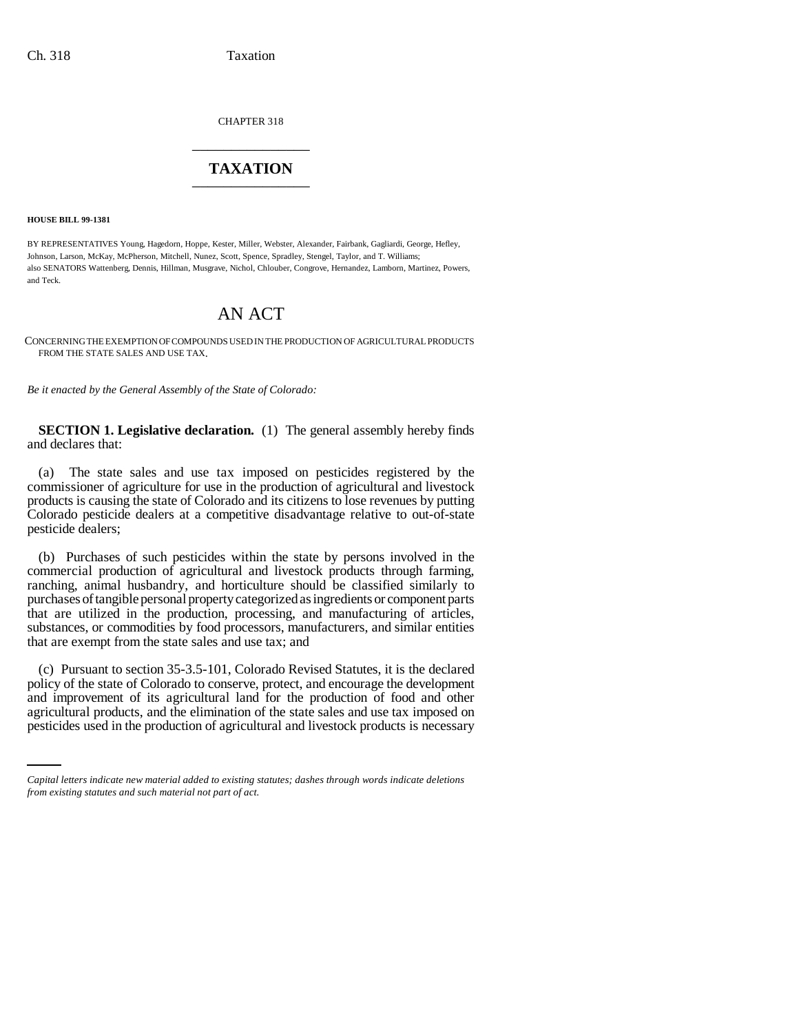CHAPTER 318 \_\_\_\_\_\_\_\_\_\_\_\_\_\_\_

## **TAXATION** \_\_\_\_\_\_\_\_\_\_\_\_\_\_\_

**HOUSE BILL 99-1381** 

BY REPRESENTATIVES Young, Hagedorn, Hoppe, Kester, Miller, Webster, Alexander, Fairbank, Gagliardi, George, Hefley, Johnson, Larson, McKay, McPherson, Mitchell, Nunez, Scott, Spence, Spradley, Stengel, Taylor, and T. Williams; also SENATORS Wattenberg, Dennis, Hillman, Musgrave, Nichol, Chlouber, Congrove, Hernandez, Lamborn, Martinez, Powers, and Teck.

## AN ACT

CONCERNING THE EXEMPTION OF COMPOUNDS USED IN THE PRODUCTION OF AGRICULTURAL PRODUCTS FROM THE STATE SALES AND USE TAX.

*Be it enacted by the General Assembly of the State of Colorado:*

**SECTION 1. Legislative declaration.** (1) The general assembly hereby finds and declares that:

(a) The state sales and use tax imposed on pesticides registered by the commissioner of agriculture for use in the production of agricultural and livestock products is causing the state of Colorado and its citizens to lose revenues by putting Colorado pesticide dealers at a competitive disadvantage relative to out-of-state pesticide dealers;

(b) Purchases of such pesticides within the state by persons involved in the commercial production of agricultural and livestock products through farming, ranching, animal husbandry, and horticulture should be classified similarly to purchases of tangible personal property categorized as ingredients or component parts that are utilized in the production, processing, and manufacturing of articles, substances, or commodities by food processors, manufacturers, and similar entities that are exempt from the state sales and use tax; and

and improvement of its agricultural land for the production of food and other (c) Pursuant to section 35-3.5-101, Colorado Revised Statutes, it is the declared policy of the state of Colorado to conserve, protect, and encourage the development agricultural products, and the elimination of the state sales and use tax imposed on pesticides used in the production of agricultural and livestock products is necessary

*Capital letters indicate new material added to existing statutes; dashes through words indicate deletions from existing statutes and such material not part of act.*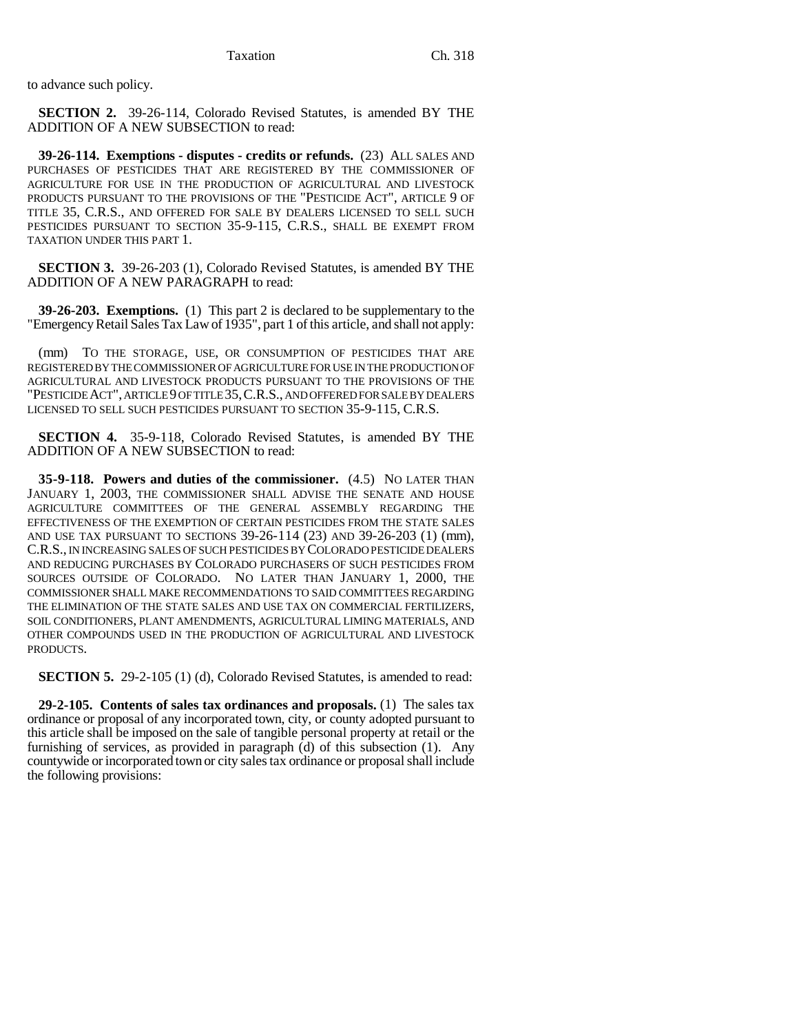to advance such policy.

**SECTION 2.** 39-26-114, Colorado Revised Statutes, is amended BY THE ADDITION OF A NEW SUBSECTION to read:

**39-26-114. Exemptions - disputes - credits or refunds.** (23) ALL SALES AND PURCHASES OF PESTICIDES THAT ARE REGISTERED BY THE COMMISSIONER OF AGRICULTURE FOR USE IN THE PRODUCTION OF AGRICULTURAL AND LIVESTOCK PRODUCTS PURSUANT TO THE PROVISIONS OF THE "PESTICIDE ACT", ARTICLE 9 OF TITLE 35, C.R.S., AND OFFERED FOR SALE BY DEALERS LICENSED TO SELL SUCH PESTICIDES PURSUANT TO SECTION 35-9-115, C.R.S., SHALL BE EXEMPT FROM TAXATION UNDER THIS PART 1.

**SECTION 3.** 39-26-203 (1), Colorado Revised Statutes, is amended BY THE ADDITION OF A NEW PARAGRAPH to read:

**39-26-203. Exemptions.** (1) This part 2 is declared to be supplementary to the "Emergency Retail Sales Tax Law of 1935", part 1 of this article, and shall not apply:

(mm) TO THE STORAGE, USE, OR CONSUMPTION OF PESTICIDES THAT ARE REGISTERED BY THE COMMISSIONER OF AGRICULTURE FOR USE IN THE PRODUCTION OF AGRICULTURAL AND LIVESTOCK PRODUCTS PURSUANT TO THE PROVISIONS OF THE "PESTICIDE ACT", ARTICLE 9 OF TITLE 35,C.R.S., AND OFFERED FOR SALE BY DEALERS LICENSED TO SELL SUCH PESTICIDES PURSUANT TO SECTION 35-9-115, C.R.S.

**SECTION 4.** 35-9-118, Colorado Revised Statutes, is amended BY THE ADDITION OF A NEW SUBSECTION to read:

**35-9-118. Powers and duties of the commissioner.** (4.5) NO LATER THAN JANUARY 1, 2003, THE COMMISSIONER SHALL ADVISE THE SENATE AND HOUSE AGRICULTURE COMMITTEES OF THE GENERAL ASSEMBLY REGARDING THE EFFECTIVENESS OF THE EXEMPTION OF CERTAIN PESTICIDES FROM THE STATE SALES AND USE TAX PURSUANT TO SECTIONS 39-26-114 (23) AND 39-26-203 (1) (mm), C.R.S., IN INCREASING SALES OF SUCH PESTICIDES BY COLORADO PESTICIDE DEALERS AND REDUCING PURCHASES BY COLORADO PURCHASERS OF SUCH PESTICIDES FROM SOURCES OUTSIDE OF COLORADO. NO LATER THAN JANUARY 1, 2000, THE COMMISSIONER SHALL MAKE RECOMMENDATIONS TO SAID COMMITTEES REGARDING THE ELIMINATION OF THE STATE SALES AND USE TAX ON COMMERCIAL FERTILIZERS, SOIL CONDITIONERS, PLANT AMENDMENTS, AGRICULTURAL LIMING MATERIALS, AND OTHER COMPOUNDS USED IN THE PRODUCTION OF AGRICULTURAL AND LIVESTOCK PRODUCTS.

**SECTION 5.** 29-2-105 (1) (d), Colorado Revised Statutes, is amended to read:

**29-2-105. Contents of sales tax ordinances and proposals.** (1) The sales tax ordinance or proposal of any incorporated town, city, or county adopted pursuant to this article shall be imposed on the sale of tangible personal property at retail or the furnishing of services, as provided in paragraph (d) of this subsection (1). Any countywide or incorporated town or city sales tax ordinance or proposal shall include the following provisions: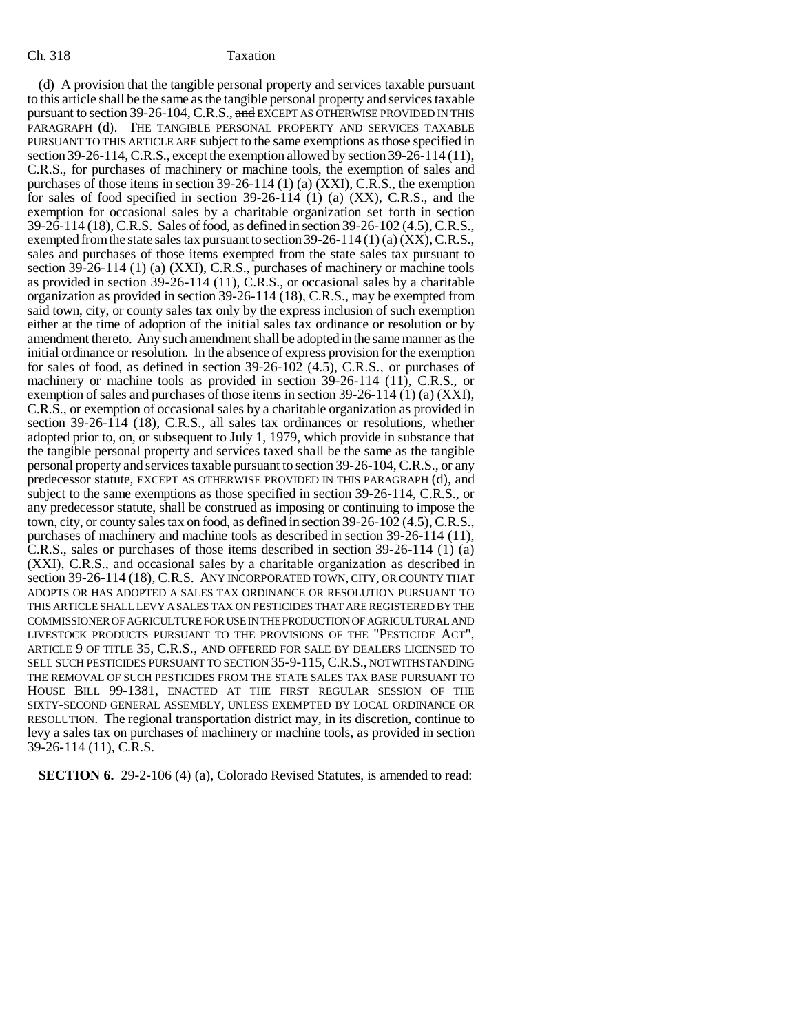(d) A provision that the tangible personal property and services taxable pursuant to this article shall be the same as the tangible personal property and services taxable pursuant to section 39-26-104, C.R.S., and EXCEPT AS OTHERWISE PROVIDED IN THIS PARAGRAPH (d). THE TANGIBLE PERSONAL PROPERTY AND SERVICES TAXABLE PURSUANT TO THIS ARTICLE ARE subject to the same exemptions as those specified in section 39-26-114, C.R.S., except the exemption allowed by section 39-26-114 (11), C.R.S., for purchases of machinery or machine tools, the exemption of sales and purchases of those items in section 39-26-114 (1) (a) (XXI), C.R.S., the exemption for sales of food specified in section 39-26-114 (1) (a) (XX), C.R.S., and the exemption for occasional sales by a charitable organization set forth in section 39-26-114 (18), C.R.S. Sales of food, as defined in section 39-26-102 (4.5), C.R.S., exempted from the state sales tax pursuant to section  $39-26-114 \cdot (1)$  (a)  $(XX)$ , C.R.S., sales and purchases of those items exempted from the state sales tax pursuant to section 39-26-114 (1) (a) (XXI), C.R.S., purchases of machinery or machine tools as provided in section 39-26-114 (11), C.R.S., or occasional sales by a charitable organization as provided in section 39-26-114 (18), C.R.S., may be exempted from said town, city, or county sales tax only by the express inclusion of such exemption either at the time of adoption of the initial sales tax ordinance or resolution or by amendment thereto. Any such amendment shall be adopted in the same manner as the initial ordinance or resolution. In the absence of express provision for the exemption for sales of food, as defined in section 39-26-102 (4.5), C.R.S., or purchases of machinery or machine tools as provided in section 39-26-114 (11), C.R.S., or exemption of sales and purchases of those items in section 39-26-114 (1) (a) (XXI), C.R.S., or exemption of occasional sales by a charitable organization as provided in section 39-26-114 (18), C.R.S., all sales tax ordinances or resolutions, whether adopted prior to, on, or subsequent to July 1, 1979, which provide in substance that the tangible personal property and services taxed shall be the same as the tangible personal property and services taxable pursuant to section 39-26-104, C.R.S., or any predecessor statute, EXCEPT AS OTHERWISE PROVIDED IN THIS PARAGRAPH (d), and subject to the same exemptions as those specified in section 39-26-114, C.R.S., or any predecessor statute, shall be construed as imposing or continuing to impose the town, city, or county sales tax on food, as defined in section 39-26-102 (4.5), C.R.S., purchases of machinery and machine tools as described in section 39-26-114 (11), C.R.S., sales or purchases of those items described in section 39-26-114 (1) (a) (XXI), C.R.S., and occasional sales by a charitable organization as described in section 39-26-114 (18), C.R.S. ANY INCORPORATED TOWN, CITY, OR COUNTY THAT ADOPTS OR HAS ADOPTED A SALES TAX ORDINANCE OR RESOLUTION PURSUANT TO THIS ARTICLE SHALL LEVY A SALES TAX ON PESTICIDES THAT ARE REGISTERED BY THE COMMISSIONER OF AGRICULTURE FOR USE IN THE PRODUCTION OF AGRICULTURAL AND LIVESTOCK PRODUCTS PURSUANT TO THE PROVISIONS OF THE "PESTICIDE ACT", ARTICLE 9 OF TITLE 35, C.R.S., AND OFFERED FOR SALE BY DEALERS LICENSED TO SELL SUCH PESTICIDES PURSUANT TO SECTION 35-9-115,C.R.S., NOTWITHSTANDING THE REMOVAL OF SUCH PESTICIDES FROM THE STATE SALES TAX BASE PURSUANT TO HOUSE BILL 99-1381, ENACTED AT THE FIRST REGULAR SESSION OF THE SIXTY-SECOND GENERAL ASSEMBLY, UNLESS EXEMPTED BY LOCAL ORDINANCE OR RESOLUTION. The regional transportation district may, in its discretion, continue to levy a sales tax on purchases of machinery or machine tools, as provided in section 39-26-114 (11), C.R.S.

**SECTION 6.** 29-2-106 (4) (a), Colorado Revised Statutes, is amended to read: